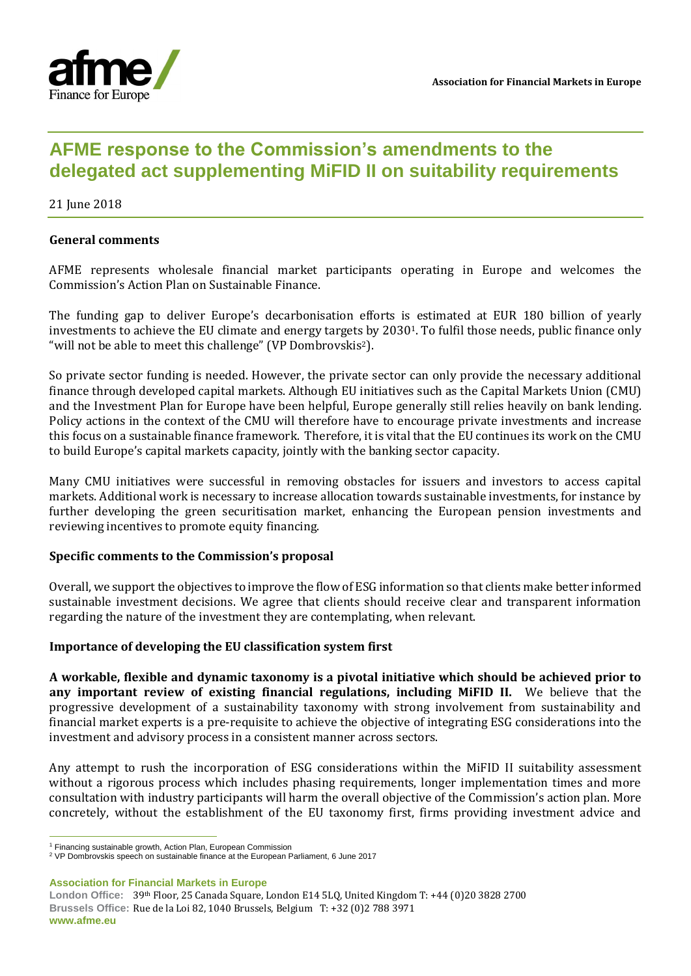

# **AFME response to the Commission's amendments to the delegated act supplementing MiFID II on suitability requirements**

21 June 2018

### **General comments**

AFME represents wholesale financial market participants operating in Europe and welcomes the Commission's Action Plan on Sustainable Finance.

The funding gap to deliver Europe's decarbonisation efforts is estimated at EUR 180 billion of yearly investments to achieve the EU climate and energy targets by 20301. To fulfil those needs, public finance only "will not be able to meet this challenge" (VP Dombrovskis2).

So private sector funding is needed. However, the private sector can only provide the necessary additional finance through developed capital markets. Although EU initiatives such as the Capital Markets Union (CMU) and the Investment Plan for Europe have been helpful, Europe generally still relies heavily on bank lending. Policy actions in the context of the CMU will therefore have to encourage private investments and increase this focus on a sustainable finance framework. Therefore, it is vital that the EU continues its work on the CMU to build Europe's capital markets capacity, jointly with the banking sector capacity.

Many CMU initiatives were successful in removing obstacles for issuers and investors to access capital markets. Additional work is necessary to increase allocation towards sustainable investments, for instance by further developing the green securitisation market, enhancing the European pension investments and reviewing incentives to promote equity financing.

#### **Specific comments to the Commission's proposal**

Overall, we support the objectives to improve the flow of ESG information so that clients make better informed sustainable investment decisions. We agree that clients should receive clear and transparent information regarding the nature of the investment they are contemplating, when relevant.

#### **Importance of developing the EU classification system first**

**A workable, flexible and dynamic taxonomy is a pivotal initiative which should be achieved prior to any important review of existing financial regulations, including MiFID II.** We believe that the progressive development of a sustainability taxonomy with strong involvement from sustainability and financial market experts is a pre-requisite to achieve the objective of integrating ESG considerations into the investment and advisory process in a consistent manner across sectors.

Any attempt to rush the incorporation of ESG considerations within the MiFID II suitability assessment without a rigorous process which includes phasing requirements, longer implementation times and more consultation with industry participants will harm the overall objective of the Commission's action plan. More concretely, without the establishment of the EU taxonomy first, firms providing investment advice and

**Association for Financial Markets in Europe**

 $\overline{a}$ 

<sup>&</sup>lt;sup>1</sup> Financing sustainable growth, Action Plan, European Commission

<sup>2</sup> VP Dombrovskis speech on sustainable finance at the European Parliament, 6 June 2017

**London Office:** 39th Floor, 25 Canada Square, London E14 5LQ, United Kingdom T: +44 (0)20 3828 2700 **Brussels Office:** Rue de la Loi 82, 1040 Brussels, Belgium T: +32 (0)2 788 3971 **www.afme.eu**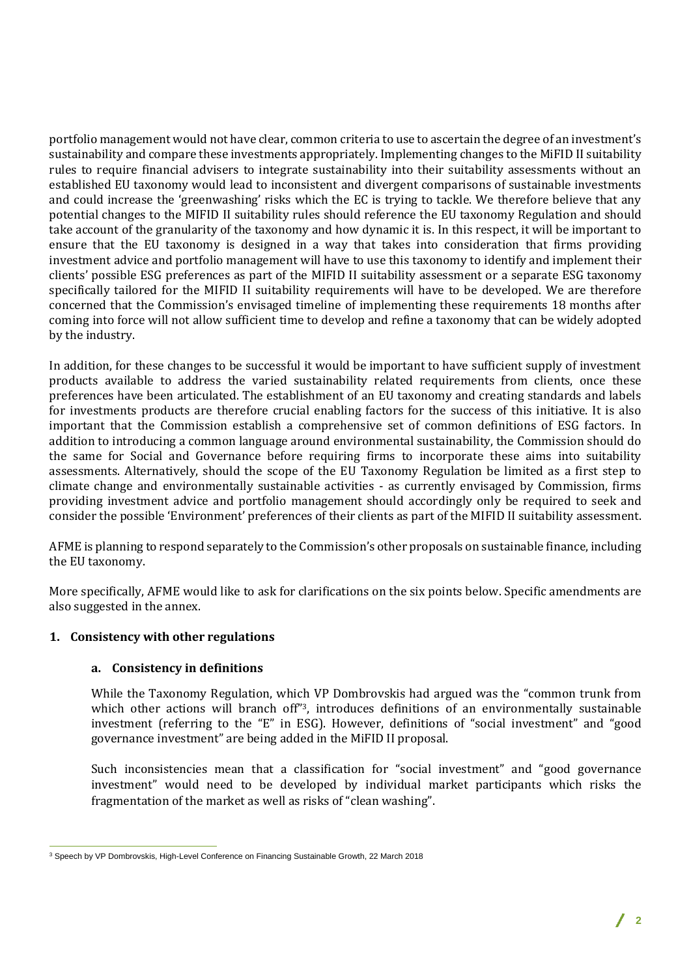portfolio management would not have clear, common criteria to use to ascertain the degree of an investment's sustainability and compare these investments appropriately. Implementing changes to the MiFID II suitability rules to require financial advisers to integrate sustainability into their suitability assessments without an established EU taxonomy would lead to inconsistent and divergent comparisons of sustainable investments and could increase the 'greenwashing' risks which the EC is trying to tackle. We therefore believe that any potential changes to the MIFID II suitability rules should reference the EU taxonomy Regulation and should take account of the granularity of the taxonomy and how dynamic it is. In this respect, it will be important to ensure that the EU taxonomy is designed in a way that takes into consideration that firms providing investment advice and portfolio management will have to use this taxonomy to identify and implement their clients' possible ESG preferences as part of the MIFID II suitability assessment or a separate ESG taxonomy specifically tailored for the MIFID II suitability requirements will have to be developed. We are therefore concerned that the Commission's envisaged timeline of implementing these requirements 18 months after coming into force will not allow sufficient time to develop and refine a taxonomy that can be widely adopted by the industry.

In addition, for these changes to be successful it would be important to have sufficient supply of investment products available to address the varied sustainability related requirements from clients, once these preferences have been articulated. The establishment of an EU taxonomy and creating standards and labels for investments products are therefore crucial enabling factors for the success of this initiative. It is also important that the Commission establish a comprehensive set of common definitions of ESG factors. In addition to introducing a common language around environmental sustainability, the Commission should do the same for Social and Governance before requiring firms to incorporate these aims into suitability assessments. Alternatively, should the scope of the EU Taxonomy Regulation be limited as a first step to climate change and environmentally sustainable activities - as currently envisaged by Commission, firms providing investment advice and portfolio management should accordingly only be required to seek and consider the possible 'Environment' preferences of their clients as part of the MIFID II suitability assessment.

AFME is planning to respond separately to the Commission's other proposals on sustainable finance, including the EU taxonomy.

More specifically, AFME would like to ask for clarifications on the six points below. Specific amendments are also suggested in the annex.

#### **1. Consistency with other regulations**

#### **a. Consistency in definitions**

While the Taxonomy Regulation, which VP Dombrovskis had argued was the "common trunk from which other actions will branch off"3, introduces definitions of an environmentally sustainable investment (referring to the "E" in ESG). However, definitions of "social investment" and "good governance investment" are being added in the MiFID II proposal.

Such inconsistencies mean that a classification for "social investment" and "good governance investment" would need to be developed by individual market participants which risks the fragmentation of the market as well as risks of "clean washing".

 $\overline{a}$ <sup>3</sup> Speech by VP Dombrovskis, High-Level Conference on Financing Sustainable Growth, 22 March 2018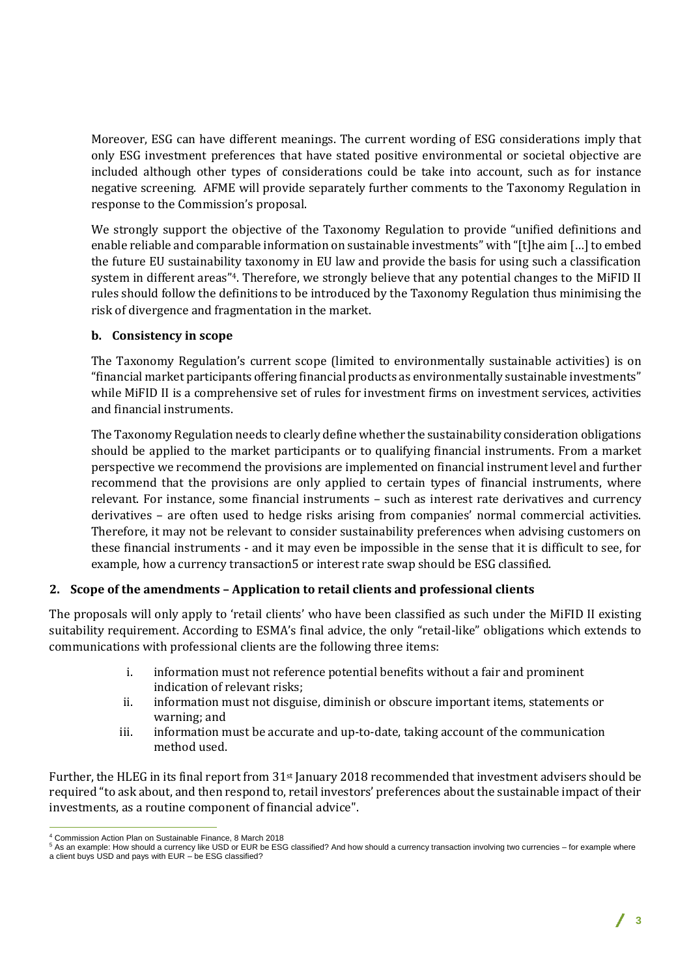Moreover, ESG can have different meanings. The current wording of ESG considerations imply that only ESG investment preferences that have stated positive environmental or societal objective are included although other types of considerations could be take into account, such as for instance negative screening. AFME will provide separately further comments to the Taxonomy Regulation in response to the Commission's proposal.

We strongly support the objective of the Taxonomy Regulation to provide "unified definitions and enable reliable and comparable information on sustainable investments" with "[t]he aim […] to embed the future EU sustainability taxonomy in EU law and provide the basis for using such a classification system in different areas"4. Therefore, we strongly believe that any potential changes to the MiFID II rules should follow the definitions to be introduced by the Taxonomy Regulation thus minimising the risk of divergence and fragmentation in the market.

## **b. Consistency in scope**

The Taxonomy Regulation's current scope (limited to environmentally sustainable activities) is on "financial market participants offering financial products as environmentally sustainable investments" while MiFID II is a comprehensive set of rules for investment firms on investment services, activities and financial instruments.

The Taxonomy Regulation needs to clearly define whether the sustainability consideration obligations should be applied to the market participants or to qualifying financial instruments. From a market perspective we recommend the provisions are implemented on financial instrument level and further recommend that the provisions are only applied to certain types of financial instruments, where relevant. For instance, some financial instruments – such as interest rate derivatives and currency derivatives – are often used to hedge risks arising from companies' normal commercial activities. Therefore, it may not be relevant to consider sustainability preferences when advising customers on these financial instruments - and it may even be impossible in the sense that it is difficult to see, for example, how a currency transaction5 or interest rate swap should be ESG classified.

## **2. Scope of the amendments – Application to retail clients and professional clients**

The proposals will only apply to 'retail clients' who have been classified as such under the MiFID II existing suitability requirement. According to ESMA's final advice, the only "retail-like" obligations which extends to communications with professional clients are the following three items:

- i. information must not reference potential benefits without a fair and prominent indication of relevant risks;
- ii. information must not disguise, diminish or obscure important items, statements or warning; and
- iii. information must be accurate and up-to-date, taking account of the communication method used.

Further, the HLEG in its final report from  $31st$  January 2018 recommended that investment advisers should be required "to ask about, and then respond to, retail investors' preferences about the sustainable impact of their investments, as a routine component of financial advice".

 $\overline{a}$ <sup>4</sup> Commission Action Plan on Sustainable Finance, 8 March 2018

<sup>&</sup>lt;sup>5</sup> As an example: How should a currency like USD or EUR be ESG classified? And how should a currency transaction involving two currencies – for example where a client buys USD and pays with EUR – be ESG classified?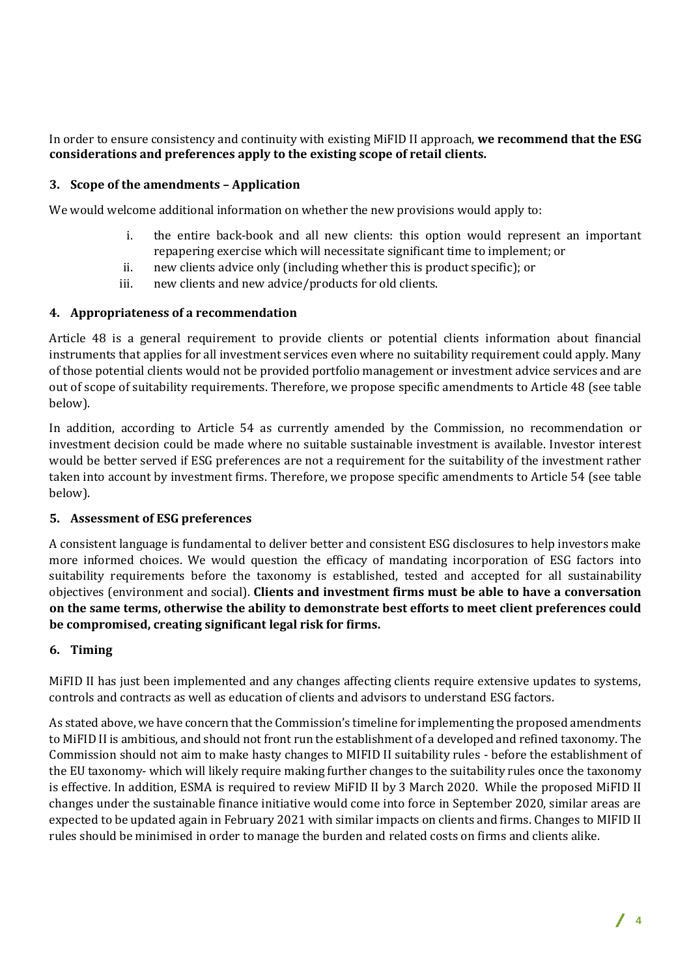In order to ensure consistency and continuity with existing MiFID II approach, **we recommend that the ESG considerations and preferences apply to the existing scope of retail clients.**

## **3. Scope of the amendments – Application**

We would welcome additional information on whether the new provisions would apply to:

- i. the entire back-book and all new clients: this option would represent an important repapering exercise which will necessitate significant time to implement; or
- ii. new clients advice only (including whether this is product specific); or
- iii. new clients and new advice/products for old clients.

## **4. Appropriateness of a recommendation**

Article 48 is a general requirement to provide clients or potential clients information about financial instruments that applies for all investment services even where no suitability requirement could apply. Many of those potential clients would not be provided portfolio management or investment advice services and are out of scope of suitability requirements. Therefore, we propose specific amendments to Article 48 (see table below).

In addition, according to Article 54 as currently amended by the Commission, no recommendation or investment decision could be made where no suitable sustainable investment is available. Investor interest would be better served if ESG preferences are not a requirement for the suitability of the investment rather taken into account by investment firms. Therefore, we propose specific amendments to Article 54 (see table below).

## **5. Assessment of ESG preferences**

A consistent language is fundamental to deliver better and consistent ESG disclosures to help investors make more informed choices. We would question the efficacy of mandating incorporation of ESG factors into suitability requirements before the taxonomy is established, tested and accepted for all sustainability objectives (environment and social). **Clients and investment firms must be able to have a conversation on the same terms, otherwise the ability to demonstrate best efforts to meet client preferences could be compromised, creating significant legal risk for firms.**

#### **6. Timing**

MiFID II has just been implemented and any changes affecting clients require extensive updates to systems, controls and contracts as well as education of clients and advisors to understand ESG factors.

As stated above, we have concern that the Commission's timeline for implementing the proposed amendments to MiFID II is ambitious, and should not front run the establishment of a developed and refined taxonomy. The Commission should not aim to make hasty changes to MIFID II suitability rules - before the establishment of the EU taxonomy- which will likely require making further changes to the suitability rules once the taxonomy is effective. In addition, ESMA is required to review MiFID II by 3 March 2020. While the proposed MiFID II changes under the sustainable finance initiative would come into force in September 2020, similar areas are expected to be updated again in February 2021 with similar impacts on clients and firms. Changes to MIFID II rules should be minimised in order to manage the burden and related costs on firms and clients alike.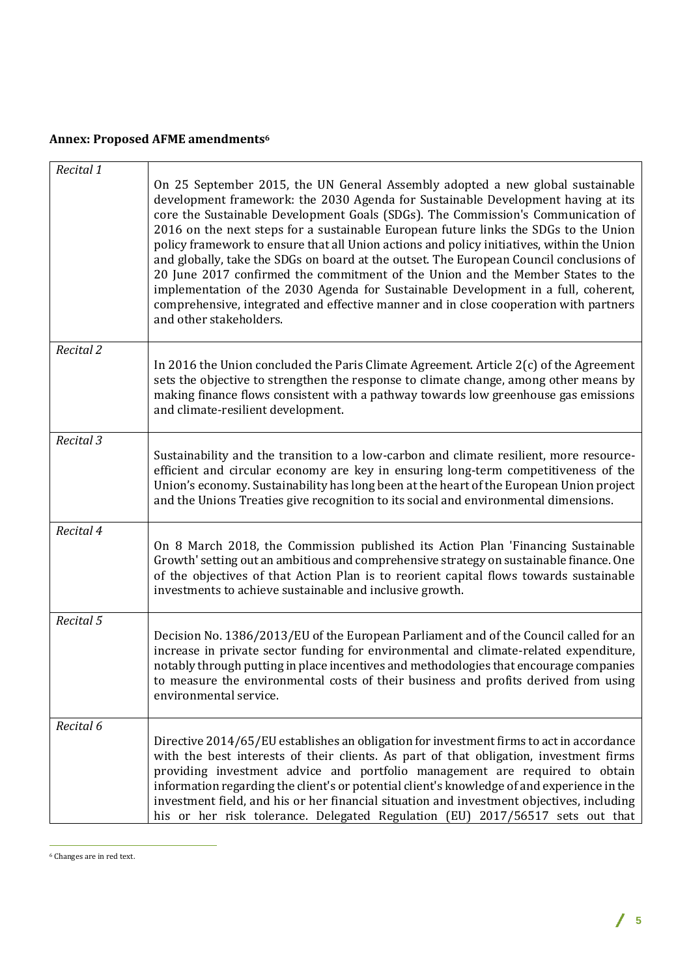## **Annex: Proposed AFME amendments<sup>6</sup>**

| Recital 1 |                                                                                                                                                                                                                                                                                                                                                                                                                                                                                                                                                                                                                                                                                                                                                                                                                                      |
|-----------|--------------------------------------------------------------------------------------------------------------------------------------------------------------------------------------------------------------------------------------------------------------------------------------------------------------------------------------------------------------------------------------------------------------------------------------------------------------------------------------------------------------------------------------------------------------------------------------------------------------------------------------------------------------------------------------------------------------------------------------------------------------------------------------------------------------------------------------|
|           | On 25 September 2015, the UN General Assembly adopted a new global sustainable<br>development framework: the 2030 Agenda for Sustainable Development having at its<br>core the Sustainable Development Goals (SDGs). The Commission's Communication of<br>2016 on the next steps for a sustainable European future links the SDGs to the Union<br>policy framework to ensure that all Union actions and policy initiatives, within the Union<br>and globally, take the SDGs on board at the outset. The European Council conclusions of<br>20 June 2017 confirmed the commitment of the Union and the Member States to the<br>implementation of the 2030 Agenda for Sustainable Development in a full, coherent,<br>comprehensive, integrated and effective manner and in close cooperation with partners<br>and other stakeholders. |
| Recital 2 | In 2016 the Union concluded the Paris Climate Agreement. Article $2(c)$ of the Agreement<br>sets the objective to strengthen the response to climate change, among other means by<br>making finance flows consistent with a pathway towards low greenhouse gas emissions<br>and climate-resilient development.                                                                                                                                                                                                                                                                                                                                                                                                                                                                                                                       |
| Recital 3 | Sustainability and the transition to a low-carbon and climate resilient, more resource-<br>efficient and circular economy are key in ensuring long-term competitiveness of the<br>Union's economy. Sustainability has long been at the heart of the European Union project<br>and the Unions Treaties give recognition to its social and environmental dimensions.                                                                                                                                                                                                                                                                                                                                                                                                                                                                   |
| Recital 4 | On 8 March 2018, the Commission published its Action Plan 'Financing Sustainable<br>Growth' setting out an ambitious and comprehensive strategy on sustainable finance. One<br>of the objectives of that Action Plan is to reorient capital flows towards sustainable<br>investments to achieve sustainable and inclusive growth.                                                                                                                                                                                                                                                                                                                                                                                                                                                                                                    |
| Recital 5 | Decision No. 1386/2013/EU of the European Parliament and of the Council called for an<br>increase in private sector funding for environmental and climate-related expenditure,<br>notably through putting in place incentives and methodologies that encourage companies<br>to measure the environmental costs of their business and profits derived from using<br>environmental service.                                                                                                                                                                                                                                                                                                                                                                                                                                            |
| Recital 6 | Directive 2014/65/EU establishes an obligation for investment firms to act in accordance<br>with the best interests of their clients. As part of that obligation, investment firms<br>providing investment advice and portfolio management are required to obtain<br>information regarding the client's or potential client's knowledge of and experience in the<br>investment field, and his or her financial situation and investment objectives, including<br>his or her risk tolerance. Delegated Regulation (EU) 2017/56517 sets out that                                                                                                                                                                                                                                                                                       |

 $\overline{a}$ <sup>6</sup> Changes are in red text.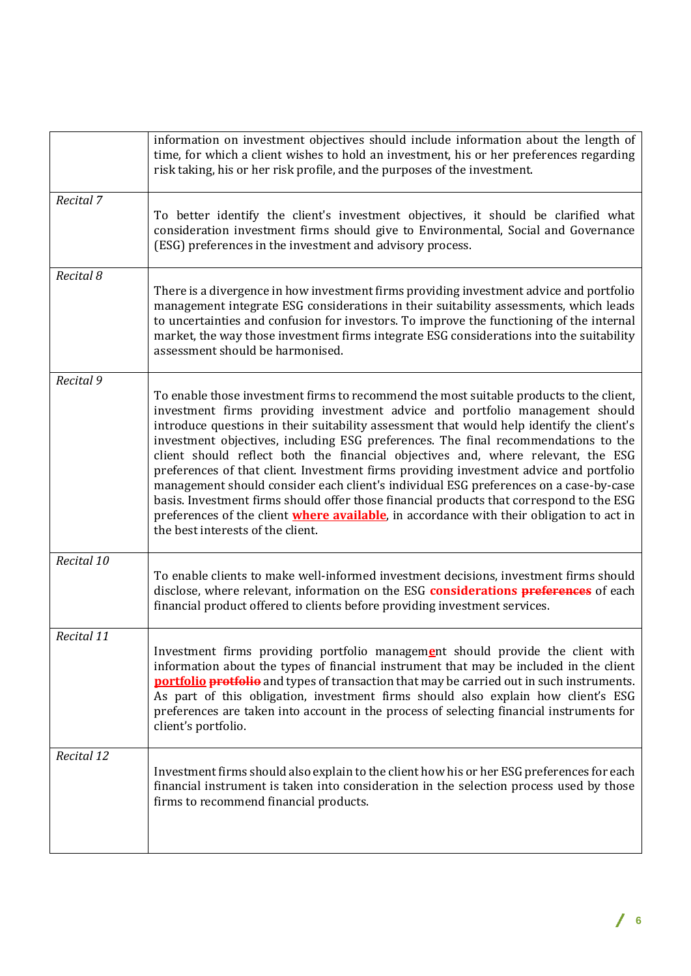|            | information on investment objectives should include information about the length of<br>time, for which a client wishes to hold an investment, his or her preferences regarding<br>risk taking, his or her risk profile, and the purposes of the investment.                                                                                                                                                                                                                                                                                                                                                                                                                                                                                                                                                                                                            |
|------------|------------------------------------------------------------------------------------------------------------------------------------------------------------------------------------------------------------------------------------------------------------------------------------------------------------------------------------------------------------------------------------------------------------------------------------------------------------------------------------------------------------------------------------------------------------------------------------------------------------------------------------------------------------------------------------------------------------------------------------------------------------------------------------------------------------------------------------------------------------------------|
| Recital 7  | To better identify the client's investment objectives, it should be clarified what<br>consideration investment firms should give to Environmental, Social and Governance<br>(ESG) preferences in the investment and advisory process.                                                                                                                                                                                                                                                                                                                                                                                                                                                                                                                                                                                                                                  |
| Recital 8  | There is a divergence in how investment firms providing investment advice and portfolio<br>management integrate ESG considerations in their suitability assessments, which leads<br>to uncertainties and confusion for investors. To improve the functioning of the internal<br>market, the way those investment firms integrate ESG considerations into the suitability<br>assessment should be harmonised.                                                                                                                                                                                                                                                                                                                                                                                                                                                           |
| Recital 9  | To enable those investment firms to recommend the most suitable products to the client,<br>investment firms providing investment advice and portfolio management should<br>introduce questions in their suitability assessment that would help identify the client's<br>investment objectives, including ESG preferences. The final recommendations to the<br>client should reflect both the financial objectives and, where relevant, the ESG<br>preferences of that client. Investment firms providing investment advice and portfolio<br>management should consider each client's individual ESG preferences on a case-by-case<br>basis. Investment firms should offer those financial products that correspond to the ESG<br>preferences of the client <b>where available</b> , in accordance with their obligation to act in<br>the best interests of the client. |
| Recital 10 | To enable clients to make well-informed investment decisions, investment firms should<br>disclose, where relevant, information on the ESG considerations preferences of each<br>financial product offered to clients before providing investment services.                                                                                                                                                                                                                                                                                                                                                                                                                                                                                                                                                                                                             |
| Recital 11 | Investment firms providing portfolio management should provide the client with<br>information about the types of financial instrument that may be included in the client<br><b>portfolio protfolio</b> and types of transaction that may be carried out in such instruments.<br>As part of this obligation, investment firms should also explain how client's ESG<br>preferences are taken into account in the process of selecting financial instruments for<br>client's portfolio.                                                                                                                                                                                                                                                                                                                                                                                   |
| Recital 12 | Investment firms should also explain to the client how his or her ESG preferences for each<br>financial instrument is taken into consideration in the selection process used by those<br>firms to recommend financial products.                                                                                                                                                                                                                                                                                                                                                                                                                                                                                                                                                                                                                                        |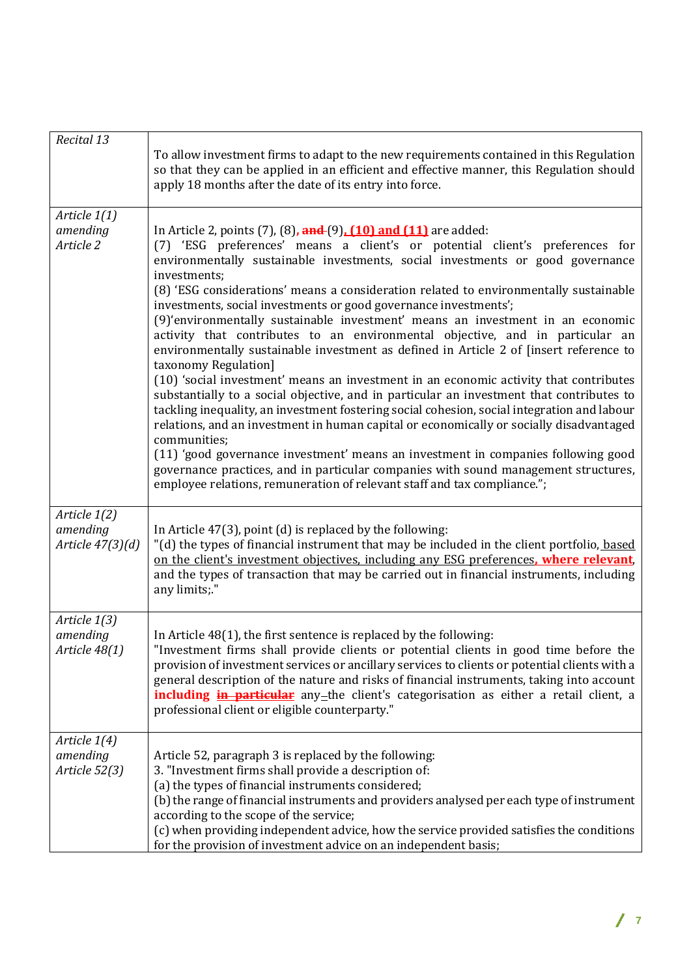| Recital 13                                   | To allow investment firms to adapt to the new requirements contained in this Regulation<br>so that they can be applied in an efficient and effective manner, this Regulation should<br>apply 18 months after the date of its entry into force.                                                                                                                                                                                                                                                                                                                                                                                                                                                                                                                                                                                                                                                                                                                                                                                                                                                                                                                                                                                                                                                                                                              |
|----------------------------------------------|-------------------------------------------------------------------------------------------------------------------------------------------------------------------------------------------------------------------------------------------------------------------------------------------------------------------------------------------------------------------------------------------------------------------------------------------------------------------------------------------------------------------------------------------------------------------------------------------------------------------------------------------------------------------------------------------------------------------------------------------------------------------------------------------------------------------------------------------------------------------------------------------------------------------------------------------------------------------------------------------------------------------------------------------------------------------------------------------------------------------------------------------------------------------------------------------------------------------------------------------------------------------------------------------------------------------------------------------------------------|
| Article 1(1)<br>amending<br>Article 2        | In Article 2, points (7), (8), and (9), (10) and (11) are added:<br>(7) 'ESG preferences' means a client's or potential client's preferences for<br>environmentally sustainable investments, social investments or good governance<br>investments;<br>(8) 'ESG considerations' means a consideration related to environmentally sustainable<br>investments, social investments or good governance investments';<br>(9)'environmentally sustainable investment' means an investment in an economic<br>activity that contributes to an environmental objective, and in particular an<br>environmentally sustainable investment as defined in Article 2 of [insert reference to<br>taxonomy Regulation]<br>(10) 'social investment' means an investment in an economic activity that contributes<br>substantially to a social objective, and in particular an investment that contributes to<br>tackling inequality, an investment fostering social cohesion, social integration and labour<br>relations, and an investment in human capital or economically or socially disadvantaged<br>communities;<br>(11) 'good governance investment' means an investment in companies following good<br>governance practices, and in particular companies with sound management structures,<br>employee relations, remuneration of relevant staff and tax compliance."; |
| Article 1(2)<br>amending<br>Article 47(3)(d) | In Article $47(3)$ , point (d) is replaced by the following:<br>"(d) the types of financial instrument that may be included in the client portfolio, based<br>on the client's investment objectives, including any ESG preferences, where relevant,<br>and the types of transaction that may be carried out in financial instruments, including<br>any limits;."                                                                                                                                                                                                                                                                                                                                                                                                                                                                                                                                                                                                                                                                                                                                                                                                                                                                                                                                                                                            |
| Article 1(3)<br>amending<br>Article 48(1)    | In Article 48(1), the first sentence is replaced by the following:<br>"Investment firms shall provide clients or potential clients in good time before the<br>provision of investment services or ancillary services to clients or potential clients with a<br>general description of the nature and risks of financial instruments, taking into account<br><b>including in particular</b> any-the client's categorisation as either a retail client, a<br>professional client or eligible counterparty."                                                                                                                                                                                                                                                                                                                                                                                                                                                                                                                                                                                                                                                                                                                                                                                                                                                   |
| Article 1(4)<br>amending<br>Article 52(3)    | Article 52, paragraph 3 is replaced by the following:<br>3. "Investment firms shall provide a description of:<br>(a) the types of financial instruments considered;<br>(b) the range of financial instruments and providers analysed per each type of instrument<br>according to the scope of the service;<br>(c) when providing independent advice, how the service provided satisfies the conditions<br>for the provision of investment advice on an independent basis;                                                                                                                                                                                                                                                                                                                                                                                                                                                                                                                                                                                                                                                                                                                                                                                                                                                                                   |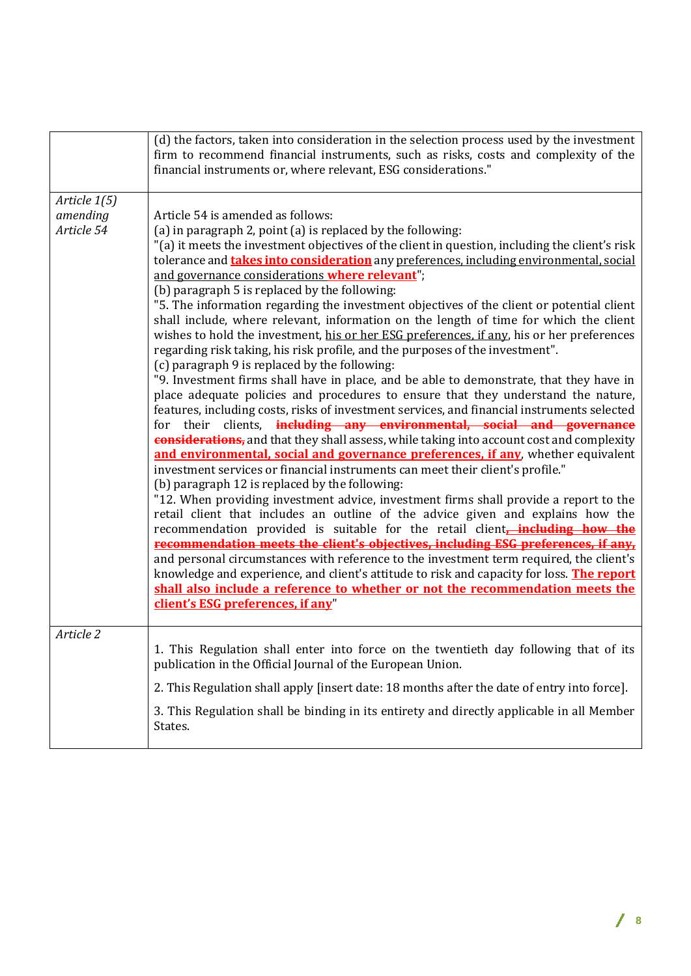|                                        | (d) the factors, taken into consideration in the selection process used by the investment<br>firm to recommend financial instruments, such as risks, costs and complexity of the<br>financial instruments or, where relevant, ESG considerations."                                                                                                                                                                                                                                                                                                                                                                                                                                                                                                                                                                                                                                                                                                                                                                                                                                                                                                                                                                                                                                                                                                                                                                                                                                                                                                                                                                                                                                                                                                                                                                                                                                                                                                                                                                                                                                                                                                                                |
|----------------------------------------|-----------------------------------------------------------------------------------------------------------------------------------------------------------------------------------------------------------------------------------------------------------------------------------------------------------------------------------------------------------------------------------------------------------------------------------------------------------------------------------------------------------------------------------------------------------------------------------------------------------------------------------------------------------------------------------------------------------------------------------------------------------------------------------------------------------------------------------------------------------------------------------------------------------------------------------------------------------------------------------------------------------------------------------------------------------------------------------------------------------------------------------------------------------------------------------------------------------------------------------------------------------------------------------------------------------------------------------------------------------------------------------------------------------------------------------------------------------------------------------------------------------------------------------------------------------------------------------------------------------------------------------------------------------------------------------------------------------------------------------------------------------------------------------------------------------------------------------------------------------------------------------------------------------------------------------------------------------------------------------------------------------------------------------------------------------------------------------------------------------------------------------------------------------------------------------|
| Article 1(5)<br>amending<br>Article 54 | Article 54 is amended as follows:<br>(a) in paragraph 2, point (a) is replaced by the following:<br>"(a) it meets the investment objectives of the client in question, including the client's risk<br>tolerance and <b>takes into consideration</b> any preferences, including environmental, social<br>and governance considerations where relevant";<br>(b) paragraph 5 is replaced by the following:<br>"5. The information regarding the investment objectives of the client or potential client<br>shall include, where relevant, information on the length of time for which the client<br>wishes to hold the investment, his or her ESG preferences, if any, his or her preferences<br>regarding risk taking, his risk profile, and the purposes of the investment".<br>(c) paragraph 9 is replaced by the following:<br>"9. Investment firms shall have in place, and be able to demonstrate, that they have in<br>place adequate policies and procedures to ensure that they understand the nature,<br>features, including costs, risks of investment services, and financial instruments selected<br>their clients, <i>including any environmental</i> , social and governance<br>for<br>considerations, and that they shall assess, while taking into account cost and complexity<br>and environmental, social and governance preferences, if any, whether equivalent<br>investment services or financial instruments can meet their client's profile."<br>(b) paragraph 12 is replaced by the following:<br>"12. When providing investment advice, investment firms shall provide a report to the<br>retail client that includes an outline of the advice given and explains how the<br>recommendation provided is suitable for the retail client-including how the<br>recommendation meets the client's objectives, including ESG preferences, if any,<br>and personal circumstances with reference to the investment term required, the client's<br>knowledge and experience, and client's attitude to risk and capacity for loss. The report<br>shall also include a reference to whether or not the recommendation meets the<br>client's ESG preferences, if any" |
| Article 2                              | 1. This Regulation shall enter into force on the twentieth day following that of its<br>publication in the Official Journal of the European Union.<br>2. This Regulation shall apply [insert date: 18 months after the date of entry into force].<br>3. This Regulation shall be binding in its entirety and directly applicable in all Member<br>States.                                                                                                                                                                                                                                                                                                                                                                                                                                                                                                                                                                                                                                                                                                                                                                                                                                                                                                                                                                                                                                                                                                                                                                                                                                                                                                                                                                                                                                                                                                                                                                                                                                                                                                                                                                                                                         |